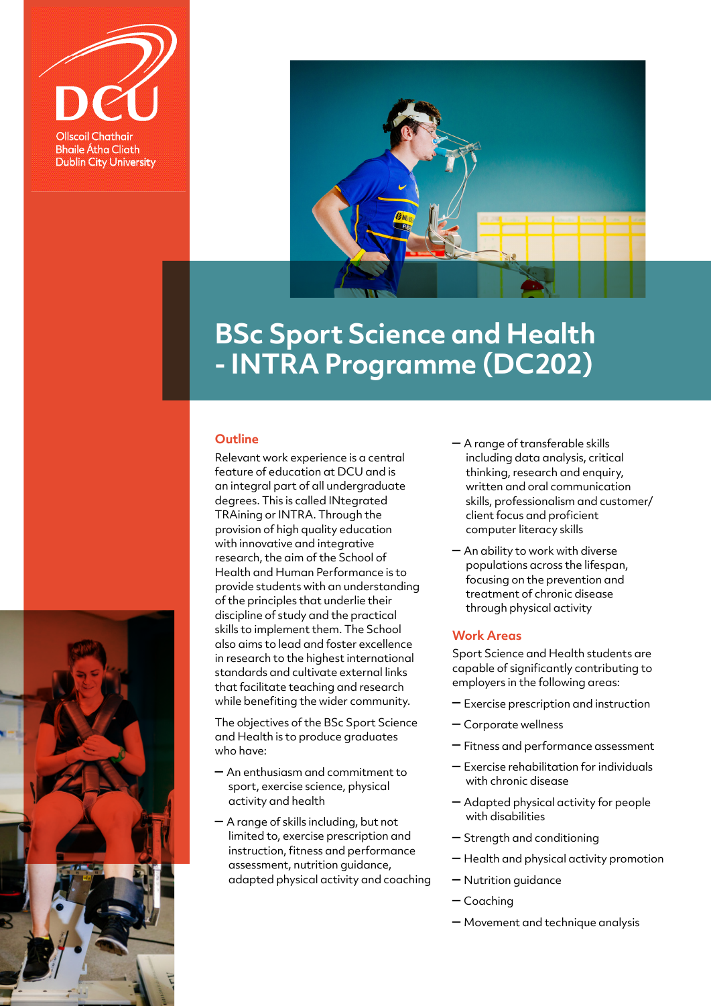



## **BSc Sport Science and Health - INTRA Programme (DC202)**

## **Outline**

Relevant work experience is a central feature of education at DCU and is an integral part of all undergraduate degrees. This is called INtegrated TRAining or INTRA. Through the provision of high quality education with innovative and integrative research, the aim of the School of Health and Human Performance is to provide students with an understanding of the principles that underlie their discipline of study and the practical skills to implement them. The School also aims to lead and foster excellence in research to the highest international standards and cultivate external links that facilitate teaching and research while benefiting the wider community.

The objectives of the BSc Sport Science and Health is to produce graduates who have:

- An enthusiasm and commitment to sport, exercise science, physical activity and health
- A range of skills including, but not limited to, exercise prescription and instruction, fitness and performance assessment, nutrition guidance, adapted physical activity and coaching
- A range of transferable skills including data analysis, critical thinking, research and enquiry, written and oral communication skills, professionalism and customer/ client focus and proficient computer literacy skills
- An ability to work with diverse populations across the lifespan, focusing on the prevention and treatment of chronic disease through physical activity

## **Work Areas**

Sport Science and Health students are capable of significantly contributing to employers in the following areas:

- Exercise prescription and instruction
- Corporate wellness
- Fitness and performance assessment
- Exercise rehabilitation for individuals with chronic disease
- Adapted physical activity for people with disabilities
- Strength and conditioning
- Health and physical activity promotion
- Nutrition guidance
- Coaching
- Movement and technique analysis